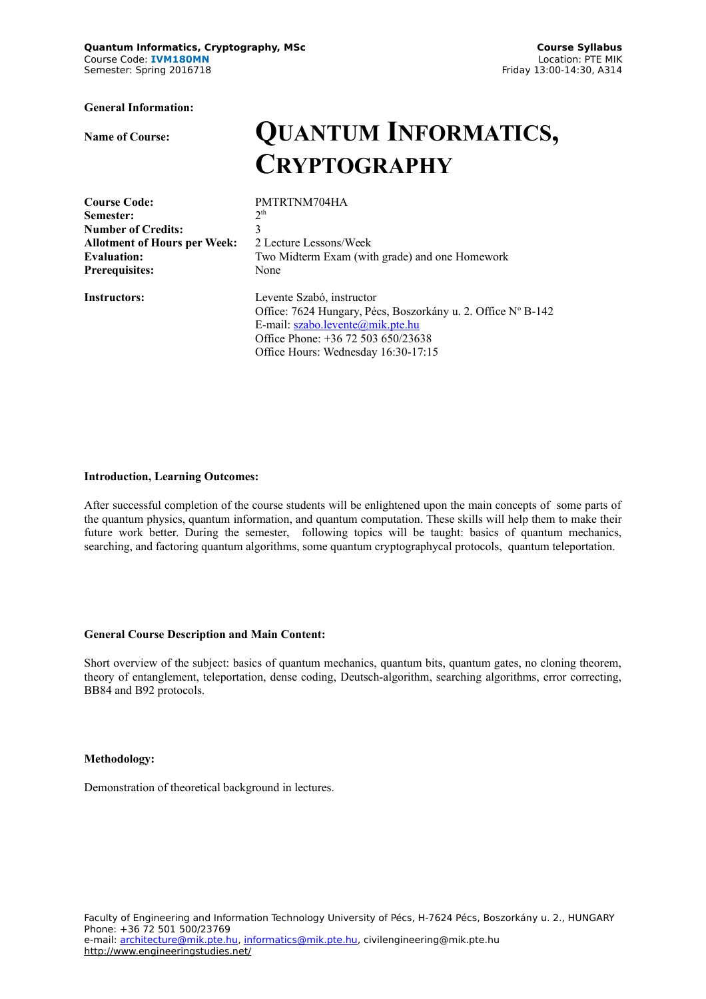**Quantum Informatics, Cryptography, MSc Course Syllabus** Course Code: **IVM180MN** Location: PTE MIK<br>
Semester: Spring 2016718 Semester: Spring 2016718 Semester: Spring 2016718

**General Information:**

# **Name of Course: QUANTUM INFORMATICS, CRYPTOGRAPHY**

**Course Code:** PMTRTNM704HA **Semester:** 2<sup>t</sup><br> **Number of Credits:** 3 **Number of Credits: Allotment of Hours per Week:** 2 Lecture Lessons/Week **Prerequisites:** None

 $2<sup>th</sup>$ **Evaluation:** Two Midterm Exam (with grade) and one Homework

**Instructors:** Levente Szabó, instructor Office: 7624 Hungary, Pécs, Boszorkány u. 2. Office Nº B-142 E-mail: [szabo.levente@mik.pte.hu](mailto:szabo.levente@mik.pte.hu) Office Phone: +36 72 503 650/23638 Office Hours: Wednesday 16:30-17:15

### **Introduction, Learning Outcomes:**

After successful completion of the course students will be enlightened upon the main concepts of some parts of the quantum physics, quantum information, and quantum computation. These skills will help them to make their future work better. During the semester, following topics will be taught: basics of quantum mechanics, searching, and factoring quantum algorithms, some quantum cryptographycal protocols, quantum teleportation.

#### **General Course Description and Main Content:**

Short overview of the subject: basics of quantum mechanics, quantum bits, quantum gates, no cloning theorem, theory of entanglement, teleportation, dense coding, Deutsch-algorithm, searching algorithms, error correcting, BB84 and B92 protocols.

#### **Methodology:**

Demonstration of theoretical background in lectures.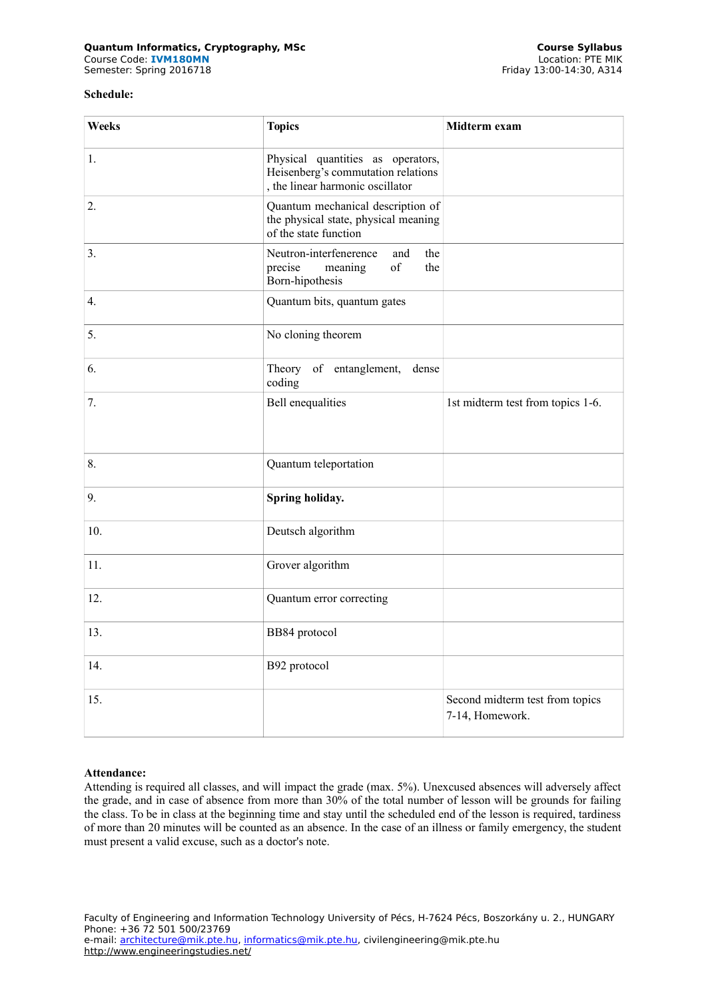#### **Course Syllabus (All and Syllabus Course Syllabus Course Syllabus Course Syllabus Course Syllabus Course Syllabus**<br>Course Code: **IVM180MN** Course Code: **IVM180MN** Location: PTE MIK<br>
Semester: Spring 2016718 Semester: Spring 2016718 Semester: Spring 2016718

## **Schedule:**

| Weeks | <b>Topics</b>                                                                                               | Midterm exam                                       |  |
|-------|-------------------------------------------------------------------------------------------------------------|----------------------------------------------------|--|
| 1.    | Physical quantities as operators,<br>Heisenberg's commutation relations<br>, the linear harmonic oscillator |                                                    |  |
| 2.    | Quantum mechanical description of<br>the physical state, physical meaning<br>of the state function          |                                                    |  |
| 3.    | Neutron-interfenerence<br>and<br>the<br>of<br>precise<br>meaning<br>the<br>Born-hipothesis                  |                                                    |  |
| 4.    | Quantum bits, quantum gates                                                                                 |                                                    |  |
| 5.    | No cloning theorem                                                                                          |                                                    |  |
| 6.    | Theory<br>of entanglement,<br>dense<br>coding                                                               |                                                    |  |
| 7.    | <b>Bell</b> enequalities                                                                                    | 1st midterm test from topics 1-6.                  |  |
| 8.    | Quantum teleportation                                                                                       |                                                    |  |
| 9.    | Spring holiday.                                                                                             |                                                    |  |
| 10.   | Deutsch algorithm                                                                                           |                                                    |  |
| 11.   | Grover algorithm                                                                                            |                                                    |  |
| 12.   | Quantum error correcting                                                                                    |                                                    |  |
| 13.   | BB84 protocol                                                                                               |                                                    |  |
| 14.   | B92 protocol                                                                                                |                                                    |  |
| 15.   |                                                                                                             | Second midterm test from topics<br>7-14, Homework. |  |

# **Attendance:**

Attending is required all classes, and will impact the grade (max. 5%). Unexcused absences will adversely affect the grade, and in case of absence from more than 30% of the total number of lesson will be grounds for failing the class. To be in class at the beginning time and stay until the scheduled end of the lesson is required, tardiness of more than 20 minutes will be counted as an absence. In the case of an illness or family emergency, the student must present a valid excuse, such as a doctor's note.